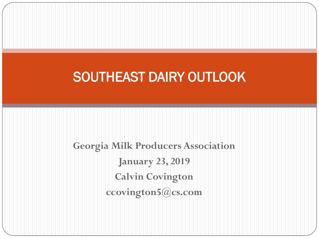### SOUTHEAST DAIRY OUTLOOK

**Georgia Milk Producers Association January 23, 2019 Calvin Covington ccovington5@cs.com**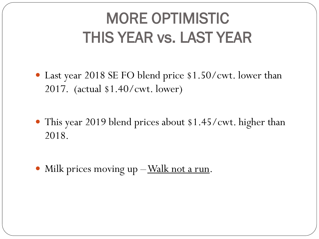# MORE OPTIMISTIC THIS YEAR vs. LAST YEAR

- Last year 2018 SE FO blend price \$1.50/cwt. lower than 2017. (actual \$1.40/cwt. lower)
- This year 2019 blend prices about \$1.45/cwt. higher than 2018.
- Milk prices moving up  $-\underline{\text{Walk}}$  not a run.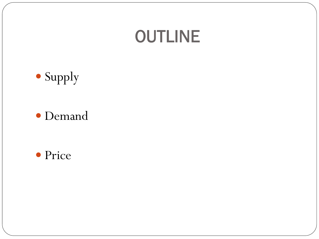### **OUTLINE**



#### Demand

#### • Price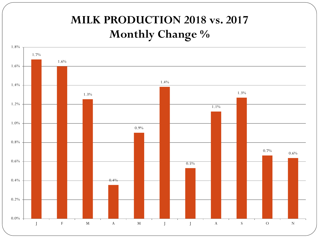### **MILK PRODUCTION 2018 vs. 2017 Monthly Change %**

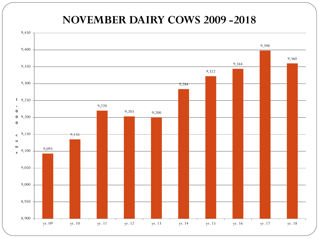#### **NOVEMBER DAIRY COWS 2009 -2018**

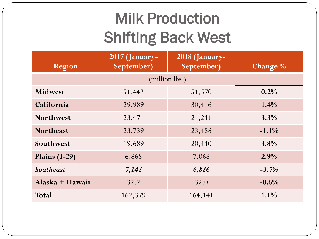# Milk Production Shifting Back West

| Region           | <b>2017 (January-</b><br>September) | 2018 (January-<br>September) | <b>Change</b> $\frac{0}{0}$ |
|------------------|-------------------------------------|------------------------------|-----------------------------|
|                  | (million lbs.)                      |                              |                             |
| <b>Midwest</b>   | 51,442                              | 51,570                       | 0.2%                        |
| California       | 29,989                              | 30,416                       | $1.4\%$                     |
| <b>Northwest</b> | 23,471                              | 24,241                       | 3.3%                        |
| <b>Northeast</b> | 23,739                              | 23,488                       | $-1.1\%$                    |
| Southwest        | 19,689                              | 20,440                       | 3.8%                        |
| Plains $(I-29)$  | 6.868                               | 7,068                        | 2.9%                        |
| <b>Southeast</b> | 7,148                               | 6,886                        | $-3.7%$                     |
| Alaska + Hawaii  | 32.2                                | 32.0                         | $-0.6\%$                    |
| <b>Total</b>     | 162,379                             | 164,141                      | $1.1\%$                     |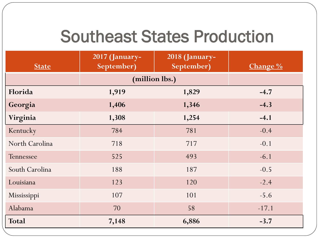### Southeast States Production

| <b>State</b>   | 2017 (January-<br>September) | 2018 (January-<br>September) | Change % |
|----------------|------------------------------|------------------------------|----------|
|                | (million lbs.)               |                              |          |
| Florida        | 1,919                        | 1,829                        | $-4.7$   |
| Georgia        | 1,406                        | 1,346                        | $-4.3$   |
| Virginia       | 1,308                        | 1,254                        | $-4.1$   |
| Kentucky       | 784                          | 781                          | $-0.4$   |
| North Carolina | 718                          | 717                          | $-0.1$   |
| Tennessee      | 525                          | 493                          | $-6.1$   |
| South Carolina | 188                          | 187                          | $-0.5$   |
| Louisiana      | 123                          | 120                          | $-2.4$   |
| Mississippi    | 107                          | 101                          | $-5.6$   |
| Alabama        | 70                           | 58                           | $-17.1$  |
| <b>Total</b>   | 7,148                        | 6,886                        | $-3.7$   |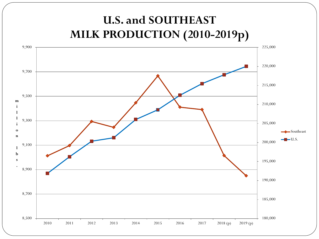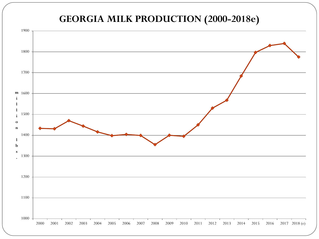#### **GEORGIA MILK PRODUCTION (2000-2018e)**

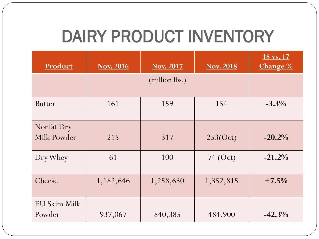# DAIRY PRODUCT INVENTORY

| Product                   | <b>Nov. 2016</b> | <b>Nov. 2017</b> | <b>Nov. 2018</b> | $18 \text{ vs. } 17$<br>Change % |
|---------------------------|------------------|------------------|------------------|----------------------------------|
|                           | (million lbs.)   |                  |                  |                                  |
| <b>Butter</b>             | 161              | 159              | 154              | $-3.3%$                          |
| Nonfat Dry<br>Milk Powder | 215              | 317              | 253(Oct)         | $-20.2%$                         |
| Dry Whey                  | 61               | 100              | 74 (Oct)         | $-21.2%$                         |
| Cheese                    | 1,182,646        | 1,258,630        | 1,352,815        | $+7.5%$                          |
| EU Skim Milk<br>Powder    | 937,067          | 840,385          | 484,900          | $-42.3%$                         |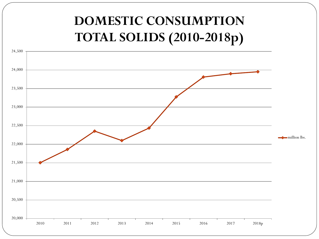### 20,000 20,500 21,000 21,500 22,000 22,500 23,000 23,500 24,000 24,500 2010 2011 2012 2013 2014 2015 2016 2017 2018p **DOMESTIC CONSUMPTION TOTAL SOLIDS (2010-2018p)** million lbs.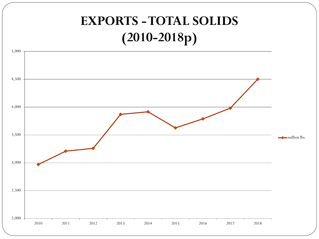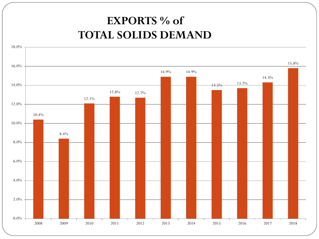### **EXPORTS % of TOTAL SOLIDS DEMAND**

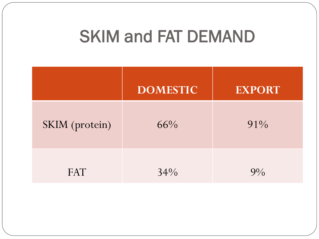# SKIM and FAT DEMAND

|                | <b>DOMESTIC</b> | <b>EXPORT</b> |
|----------------|-----------------|---------------|
| SKIM (protein) | 66%             | $91\%$        |
| <b>FAT</b>     | 34%             | $9\%$         |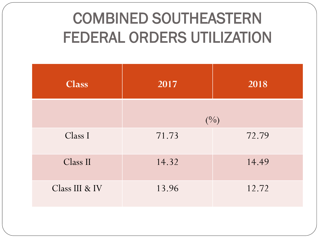# COMBINED SOUTHEASTERN FEDERAL ORDERS UTILIZATION

| <b>Class</b>   | 2017          | 2018  |
|----------------|---------------|-------|
|                | $(^{0}/_{0})$ |       |
| Class I        | 71.73         | 72.79 |
| Class II       | 14.32         | 14.49 |
| Class III & IV | 13.96         | 12.72 |
|                |               |       |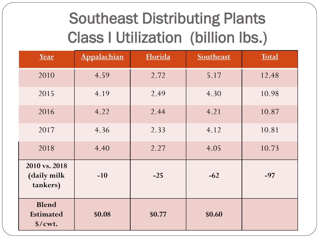# Southeast Distributing Plants Class I Utilization (billion lbs.)

| Year                                                          | Appalachian | <b>Florida</b> | Southeast | <b>Total</b> |
|---------------------------------------------------------------|-------------|----------------|-----------|--------------|
| 2010                                                          | 4.59        | 2.72           | 5.17      | 12.48        |
| 2015                                                          | 4.19        | 2.49           | 4.30      | 10.98        |
| 2016                                                          | 4.22        | 2.44           | 4.21      | 10.87        |
| 2017                                                          | 4.36        | 2.33           | 4.12      | 10.81        |
| 2018                                                          | 4.40        | 2.27           | 4.05      | 10.73        |
| 2010 vs. 2018<br>(daily milk<br>tankers)                      | $-10$       | $-25$          | $-62$     | $-97$        |
| <b>Blend</b><br><b>Estimated</b><br>$\sqrt{$}$ / $\sqrt{$}$ . | \$0.08      | \$0.77         | \$0.60    |              |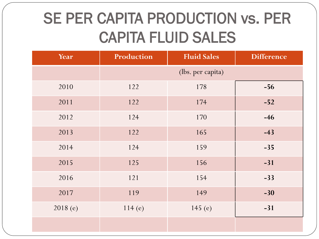# SE PER CAPITA PRODUCTION vs. PER CAPITA FLUID SALES

| Year    | Production<br><b>Fluid Sales</b> |           | <b>Difference</b> |  |
|---------|----------------------------------|-----------|-------------------|--|
|         | (lbs. per capita)                |           |                   |  |
| 2010    | 122                              | 178       | $-56$             |  |
| 2011    | 122                              | 174       | $-52$             |  |
| 2012    | 124                              | 170       | $-46$             |  |
| 2013    | 122                              | 165       | $-43$             |  |
| 2014    | 124                              | 159       | $-35$             |  |
| 2015    | 125                              | 156       | $-31$             |  |
| 2016    | 121                              | 154       | $-33$             |  |
| 2017    | 119                              | 149       | $-30$             |  |
| 2018(e) | 114(e)                           | 145 $(e)$ | $-31$             |  |
|         |                                  |           |                   |  |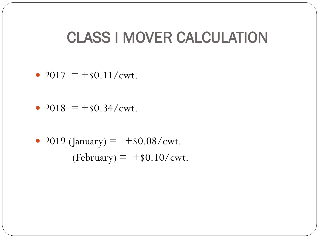### CLASS I MOVER CALCULATION

- 2017 =  $+$ \$0.11/cwt.
- 2018 =  $+$ \$0.34/cwt.
- 2019 (January) =  $+$ \$0.08/cwt.  $(February) = +\$0.10/cwt.$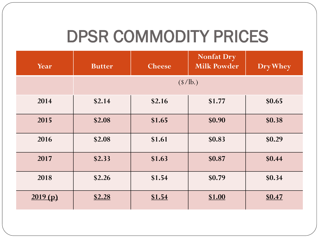# DPSR COMMODITY PRICES

| Year    | <b>Butter</b>                   | <b>Cheese</b> | <b>Nonfat Dry</b><br><b>Milk Powder</b> | Dry Whey |
|---------|---------------------------------|---------------|-----------------------------------------|----------|
|         | $(\frac{\text{S}}{\text{lb.}})$ |               |                                         |          |
| 2014    | \$2.14                          | \$2.16        | \$1.77                                  | \$0.65   |
| 2015    | \$2.08                          | \$1.65        | \$0.90                                  | \$0.38   |
| 2016    | \$2.08                          | \$1.61        | \$0.83                                  | \$0.29   |
| 2017    | \$2.33                          | \$1.63        | \$0.87                                  | \$0.44   |
| 2018    | \$2.26                          | \$1.54        | \$0.79                                  | \$0.34   |
| 2019(p) | \$2.28                          | \$1.54        | \$1.00                                  | \$0.47   |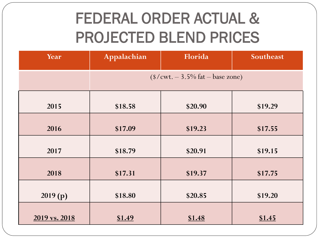# FEDERAL ORDER ACTUAL & PROJECTED BLEND PRICES

| Year          | Appalachian                                               | Florida | Southeast |  |
|---------------|-----------------------------------------------------------|---------|-----------|--|
|               | $($/ \text{cwt.} - 3.5\% \text{ fat} - \text{base zone})$ |         |           |  |
| 2015          | \$18.58                                                   | \$20.90 | \$19.29   |  |
| 2016          | \$17.09                                                   | \$19.23 | \$17.55   |  |
| 2017          | \$18.79                                                   | \$20.91 | \$19.15   |  |
| 2018          | \$17.31                                                   | \$19.37 | \$17.75   |  |
| 2019(p)       | \$18.80                                                   | \$20.85 | \$19.20   |  |
| 2019 vs. 2018 | \$1.49                                                    | \$1.48  | \$1.45    |  |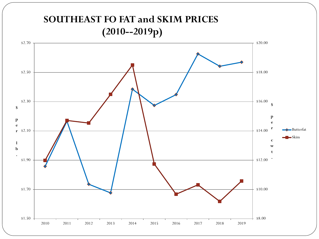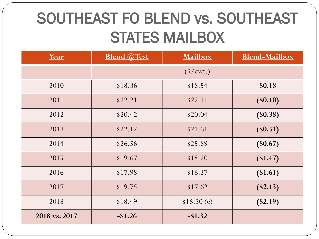# SOUTHEAST FO BLEND vs. SOUTHEAST STATES MAILBOX

| <u>Year</u>   | <b>Blend @Test</b><br><b>Mailbox</b> |            | <b>Blend-Mailbox</b> |  |
|---------------|--------------------------------------|------------|----------------------|--|
|               | $(*/cwt.)$                           |            |                      |  |
| 2010          | \$18.36                              | \$18.54    | \$0.18               |  |
| 2011          | \$22.21                              | \$22.11    | $($ \$0.10)          |  |
| 2012          | \$20.42                              | \$20.04    | (\$0.38)             |  |
| 2013          | \$22.12                              | \$21.61    | $(\$0.51)$           |  |
| 2014          | \$26.56                              | \$25.89    | $(\$0.67)$           |  |
| 2015          | \$19.67                              | \$18.20    | (\$1.47)             |  |
| 2016          | \$17.98                              | \$16.37    | (\$1.61)             |  |
| 2017          | \$19.75                              | \$17.62    | (\$2.13)             |  |
| 2018          | \$18.49                              | \$16.30(e) | $(\$2.19)$           |  |
| 2018 vs. 2017 | $-$ \$1.26                           | $-$ \$1.32 |                      |  |